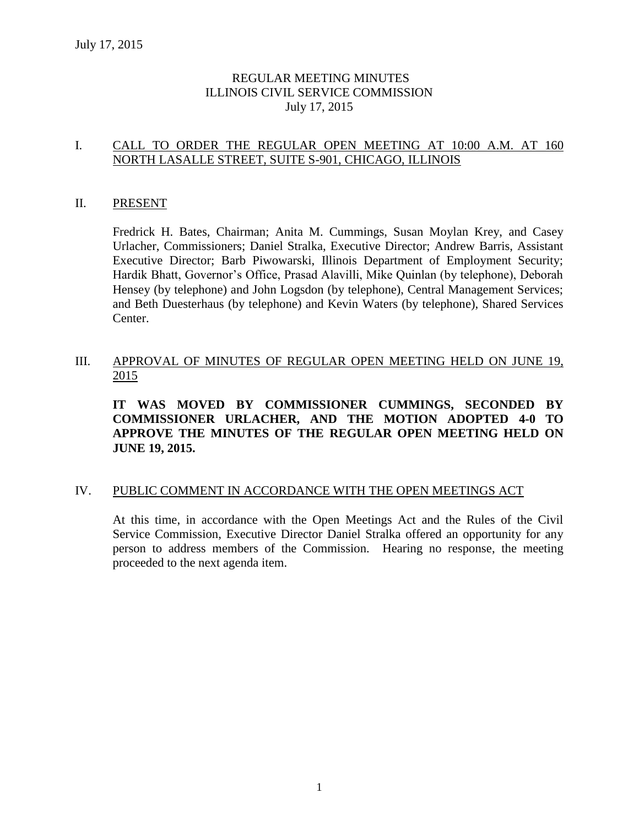### REGULAR MEETING MINUTES ILLINOIS CIVIL SERVICE COMMISSION July 17, 2015

### I. CALL TO ORDER THE REGULAR OPEN MEETING AT 10:00 A.M. AT 160 NORTH LASALLE STREET, SUITE S-901, CHICAGO, ILLINOIS

#### II. PRESENT

Fredrick H. Bates, Chairman; Anita M. Cummings, Susan Moylan Krey, and Casey Urlacher, Commissioners; Daniel Stralka, Executive Director; Andrew Barris, Assistant Executive Director; Barb Piwowarski, Illinois Department of Employment Security; Hardik Bhatt, Governor's Office, Prasad Alavilli, Mike Quinlan (by telephone), Deborah Hensey (by telephone) and John Logsdon (by telephone), Central Management Services; and Beth Duesterhaus (by telephone) and Kevin Waters (by telephone), Shared Services Center.

#### III. APPROVAL OF MINUTES OF REGULAR OPEN MEETING HELD ON JUNE 19, 2015

**IT WAS MOVED BY COMMISSIONER CUMMINGS, SECONDED BY COMMISSIONER URLACHER, AND THE MOTION ADOPTED 4-0 TO APPROVE THE MINUTES OF THE REGULAR OPEN MEETING HELD ON JUNE 19, 2015.** 

#### IV. PUBLIC COMMENT IN ACCORDANCE WITH THE OPEN MEETINGS ACT

At this time, in accordance with the Open Meetings Act and the Rules of the Civil Service Commission, Executive Director Daniel Stralka offered an opportunity for any person to address members of the Commission. Hearing no response, the meeting proceeded to the next agenda item.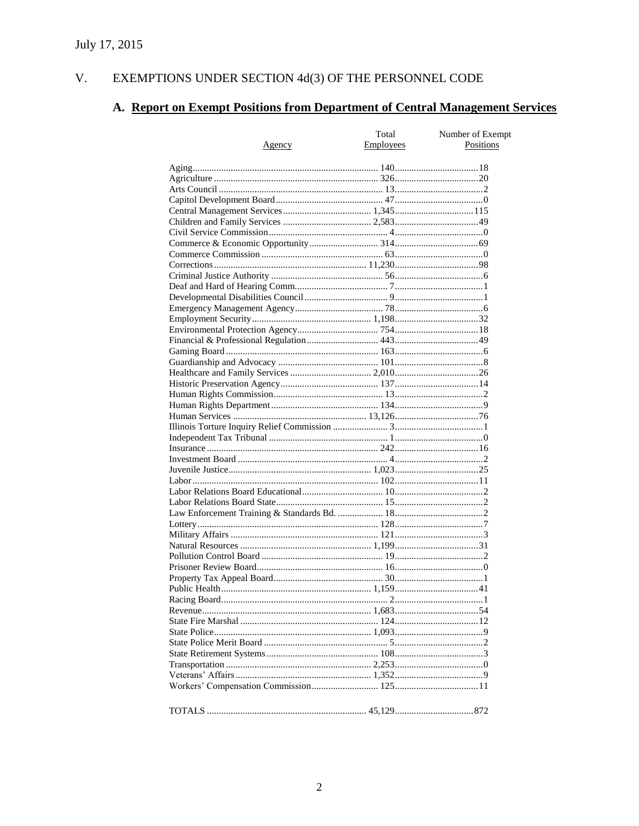#### V. EXEMPTIONS UNDER SECTION  $4d(3)$  OF THE PERSONNEL CODE

## A. Report on Exempt Positions from Department of Central Management Services

|               | Total            | Number of Exempt |
|---------------|------------------|------------------|
| <u>Agency</u> | <b>Employees</b> | Positions        |
|               |                  |                  |
|               |                  |                  |
|               |                  |                  |
|               |                  |                  |
|               |                  |                  |
|               |                  |                  |
|               |                  |                  |
|               |                  |                  |
|               |                  |                  |
|               |                  |                  |
|               |                  |                  |
|               |                  |                  |
|               |                  |                  |
|               |                  |                  |
|               |                  |                  |
|               |                  |                  |
|               |                  |                  |
|               |                  |                  |
|               |                  |                  |
|               |                  |                  |
|               |                  |                  |
|               |                  |                  |
|               |                  |                  |
|               |                  |                  |
|               |                  |                  |
|               |                  |                  |
|               |                  |                  |
|               |                  |                  |
|               |                  |                  |
|               |                  |                  |
|               |                  |                  |
|               |                  |                  |
|               |                  |                  |
|               |                  |                  |
|               |                  |                  |
|               |                  |                  |
|               |                  |                  |
|               |                  |                  |
|               |                  |                  |
|               |                  |                  |
|               |                  |                  |
|               |                  |                  |
|               |                  |                  |
|               |                  |                  |
|               |                  |                  |
|               |                  |                  |
|               |                  |                  |
|               |                  |                  |
|               |                  |                  |
|               |                  |                  |
|               |                  |                  |
|               |                  |                  |
|               |                  |                  |
|               |                  |                  |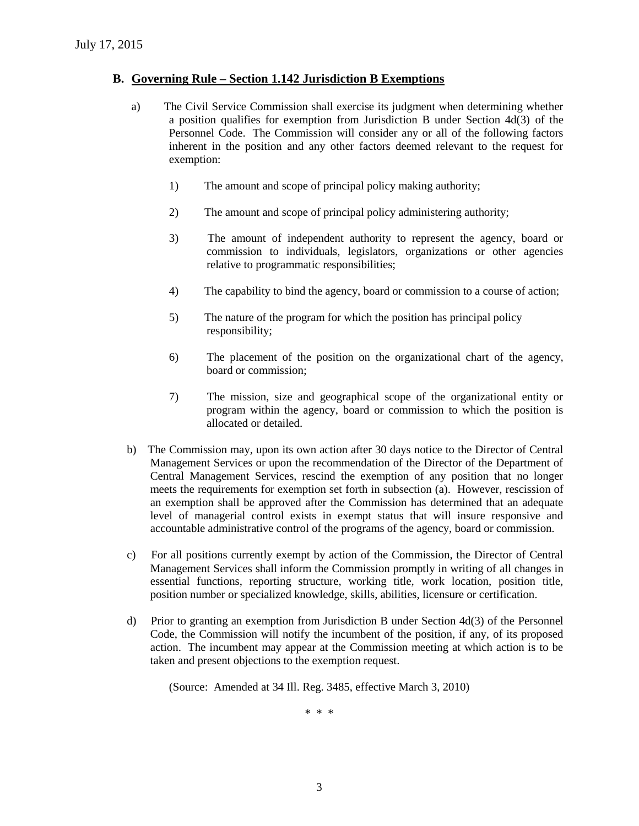#### **B. Governing Rule – Section 1.142 Jurisdiction B Exemptions**

- a) The Civil Service Commission shall exercise its judgment when determining whether a position qualifies for exemption from Jurisdiction B under Section 4d(3) of the Personnel Code. The Commission will consider any or all of the following factors inherent in the position and any other factors deemed relevant to the request for exemption:
	- 1) The amount and scope of principal policy making authority;
	- 2) The amount and scope of principal policy administering authority;
	- 3) The amount of independent authority to represent the agency, board or commission to individuals, legislators, organizations or other agencies relative to programmatic responsibilities;
	- 4) The capability to bind the agency, board or commission to a course of action;
	- 5) The nature of the program for which the position has principal policy responsibility;
	- 6) The placement of the position on the organizational chart of the agency, board or commission;
	- 7) The mission, size and geographical scope of the organizational entity or program within the agency, board or commission to which the position is allocated or detailed.
- b) The Commission may, upon its own action after 30 days notice to the Director of Central Management Services or upon the recommendation of the Director of the Department of Central Management Services, rescind the exemption of any position that no longer meets the requirements for exemption set forth in subsection (a). However, rescission of an exemption shall be approved after the Commission has determined that an adequate level of managerial control exists in exempt status that will insure responsive and accountable administrative control of the programs of the agency, board or commission.
- c) For all positions currently exempt by action of the Commission, the Director of Central Management Services shall inform the Commission promptly in writing of all changes in essential functions, reporting structure, working title, work location, position title, position number or specialized knowledge, skills, abilities, licensure or certification.
- d) Prior to granting an exemption from Jurisdiction B under Section 4d(3) of the Personnel Code, the Commission will notify the incumbent of the position, if any, of its proposed action. The incumbent may appear at the Commission meeting at which action is to be taken and present objections to the exemption request.

(Source: Amended at 34 Ill. Reg. 3485, effective March 3, 2010)

\* \* \*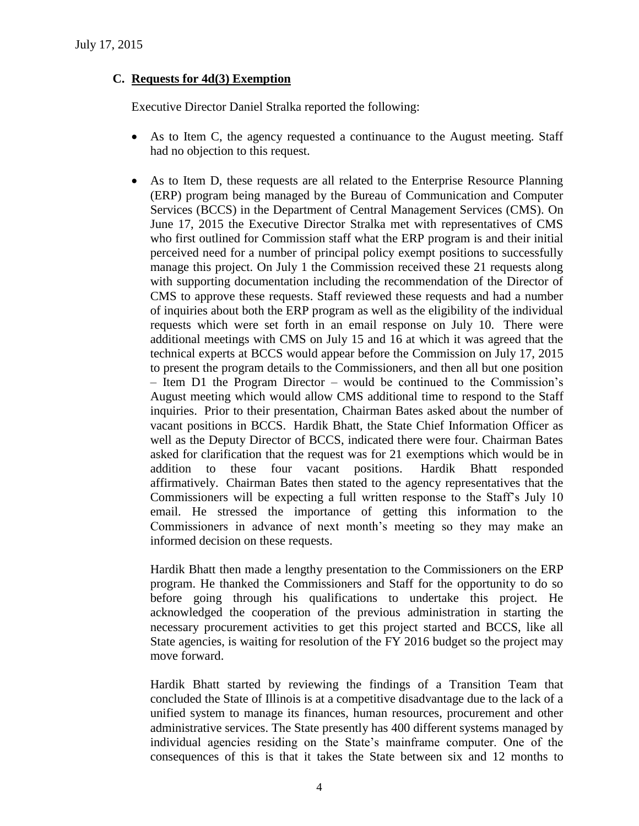### **C. Requests for 4d(3) Exemption**

Executive Director Daniel Stralka reported the following:

- As to Item C, the agency requested a continuance to the August meeting. Staff had no objection to this request.
- As to Item D, these requests are all related to the Enterprise Resource Planning (ERP) program being managed by the Bureau of Communication and Computer Services (BCCS) in the Department of Central Management Services (CMS). On June 17, 2015 the Executive Director Stralka met with representatives of CMS who first outlined for Commission staff what the ERP program is and their initial perceived need for a number of principal policy exempt positions to successfully manage this project. On July 1 the Commission received these 21 requests along with supporting documentation including the recommendation of the Director of CMS to approve these requests. Staff reviewed these requests and had a number of inquiries about both the ERP program as well as the eligibility of the individual requests which were set forth in an email response on July 10. There were additional meetings with CMS on July 15 and 16 at which it was agreed that the technical experts at BCCS would appear before the Commission on July 17, 2015 to present the program details to the Commissioners, and then all but one position – Item D1 the Program Director – would be continued to the Commission's August meeting which would allow CMS additional time to respond to the Staff inquiries. Prior to their presentation, Chairman Bates asked about the number of vacant positions in BCCS. Hardik Bhatt, the State Chief Information Officer as well as the Deputy Director of BCCS, indicated there were four. Chairman Bates asked for clarification that the request was for 21 exemptions which would be in addition to these four vacant positions. Hardik Bhatt responded affirmatively. Chairman Bates then stated to the agency representatives that the Commissioners will be expecting a full written response to the Staff's July 10 email. He stressed the importance of getting this information to the Commissioners in advance of next month's meeting so they may make an informed decision on these requests.

Hardik Bhatt then made a lengthy presentation to the Commissioners on the ERP program. He thanked the Commissioners and Staff for the opportunity to do so before going through his qualifications to undertake this project. He acknowledged the cooperation of the previous administration in starting the necessary procurement activities to get this project started and BCCS, like all State agencies, is waiting for resolution of the FY 2016 budget so the project may move forward.

Hardik Bhatt started by reviewing the findings of a Transition Team that concluded the State of Illinois is at a competitive disadvantage due to the lack of a unified system to manage its finances, human resources, procurement and other administrative services. The State presently has 400 different systems managed by individual agencies residing on the State's mainframe computer. One of the consequences of this is that it takes the State between six and 12 months to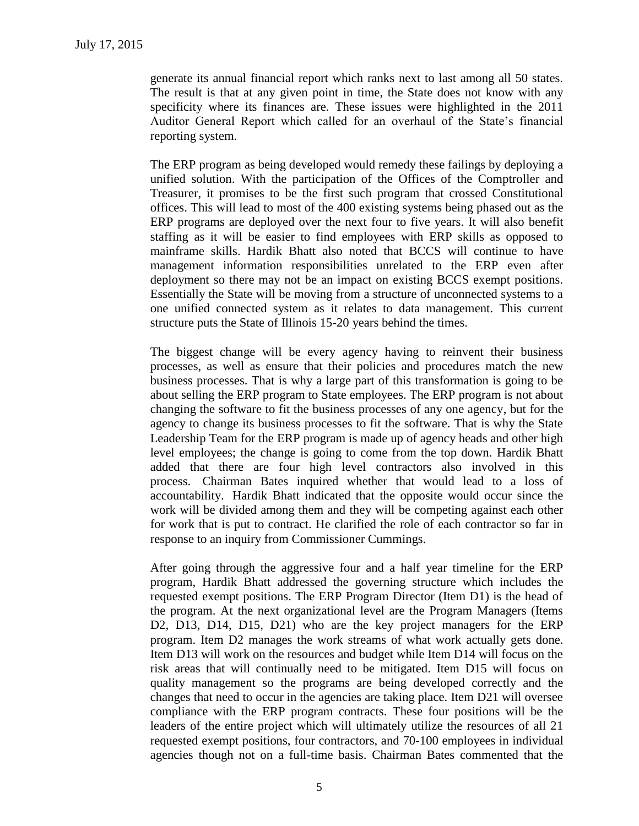generate its annual financial report which ranks next to last among all 50 states. The result is that at any given point in time, the State does not know with any specificity where its finances are. These issues were highlighted in the 2011 Auditor General Report which called for an overhaul of the State's financial reporting system.

The ERP program as being developed would remedy these failings by deploying a unified solution. With the participation of the Offices of the Comptroller and Treasurer, it promises to be the first such program that crossed Constitutional offices. This will lead to most of the 400 existing systems being phased out as the ERP programs are deployed over the next four to five years. It will also benefit staffing as it will be easier to find employees with ERP skills as opposed to mainframe skills. Hardik Bhatt also noted that BCCS will continue to have management information responsibilities unrelated to the ERP even after deployment so there may not be an impact on existing BCCS exempt positions. Essentially the State will be moving from a structure of unconnected systems to a one unified connected system as it relates to data management. This current structure puts the State of Illinois 15-20 years behind the times.

The biggest change will be every agency having to reinvent their business processes, as well as ensure that their policies and procedures match the new business processes. That is why a large part of this transformation is going to be about selling the ERP program to State employees. The ERP program is not about changing the software to fit the business processes of any one agency, but for the agency to change its business processes to fit the software. That is why the State Leadership Team for the ERP program is made up of agency heads and other high level employees; the change is going to come from the top down. Hardik Bhatt added that there are four high level contractors also involved in this process. Chairman Bates inquired whether that would lead to a loss of accountability. Hardik Bhatt indicated that the opposite would occur since the work will be divided among them and they will be competing against each other for work that is put to contract. He clarified the role of each contractor so far in response to an inquiry from Commissioner Cummings.

After going through the aggressive four and a half year timeline for the ERP program, Hardik Bhatt addressed the governing structure which includes the requested exempt positions. The ERP Program Director (Item D1) is the head of the program. At the next organizational level are the Program Managers (Items D2, D13, D14, D15, D21) who are the key project managers for the ERP program. Item D2 manages the work streams of what work actually gets done. Item D13 will work on the resources and budget while Item D14 will focus on the risk areas that will continually need to be mitigated. Item D15 will focus on quality management so the programs are being developed correctly and the changes that need to occur in the agencies are taking place. Item D21 will oversee compliance with the ERP program contracts. These four positions will be the leaders of the entire project which will ultimately utilize the resources of all 21 requested exempt positions, four contractors, and 70-100 employees in individual agencies though not on a full-time basis. Chairman Bates commented that the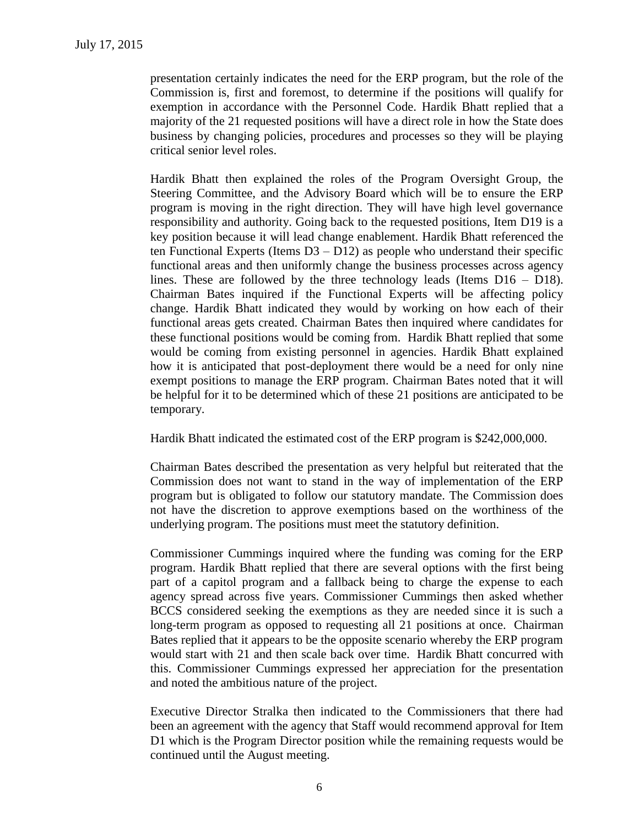presentation certainly indicates the need for the ERP program, but the role of the Commission is, first and foremost, to determine if the positions will qualify for exemption in accordance with the Personnel Code. Hardik Bhatt replied that a majority of the 21 requested positions will have a direct role in how the State does business by changing policies, procedures and processes so they will be playing critical senior level roles.

Hardik Bhatt then explained the roles of the Program Oversight Group, the Steering Committee, and the Advisory Board which will be to ensure the ERP program is moving in the right direction. They will have high level governance responsibility and authority. Going back to the requested positions, Item D19 is a key position because it will lead change enablement. Hardik Bhatt referenced the ten Functional Experts (Items  $D3 - D12$ ) as people who understand their specific functional areas and then uniformly change the business processes across agency lines. These are followed by the three technology leads (Items  $D16 - D18$ ). Chairman Bates inquired if the Functional Experts will be affecting policy change. Hardik Bhatt indicated they would by working on how each of their functional areas gets created. Chairman Bates then inquired where candidates for these functional positions would be coming from. Hardik Bhatt replied that some would be coming from existing personnel in agencies. Hardik Bhatt explained how it is anticipated that post-deployment there would be a need for only nine exempt positions to manage the ERP program. Chairman Bates noted that it will be helpful for it to be determined which of these 21 positions are anticipated to be temporary.

Hardik Bhatt indicated the estimated cost of the ERP program is \$242,000,000.

Chairman Bates described the presentation as very helpful but reiterated that the Commission does not want to stand in the way of implementation of the ERP program but is obligated to follow our statutory mandate. The Commission does not have the discretion to approve exemptions based on the worthiness of the underlying program. The positions must meet the statutory definition.

Commissioner Cummings inquired where the funding was coming for the ERP program. Hardik Bhatt replied that there are several options with the first being part of a capitol program and a fallback being to charge the expense to each agency spread across five years. Commissioner Cummings then asked whether BCCS considered seeking the exemptions as they are needed since it is such a long-term program as opposed to requesting all 21 positions at once. Chairman Bates replied that it appears to be the opposite scenario whereby the ERP program would start with 21 and then scale back over time. Hardik Bhatt concurred with this. Commissioner Cummings expressed her appreciation for the presentation and noted the ambitious nature of the project.

Executive Director Stralka then indicated to the Commissioners that there had been an agreement with the agency that Staff would recommend approval for Item D1 which is the Program Director position while the remaining requests would be continued until the August meeting.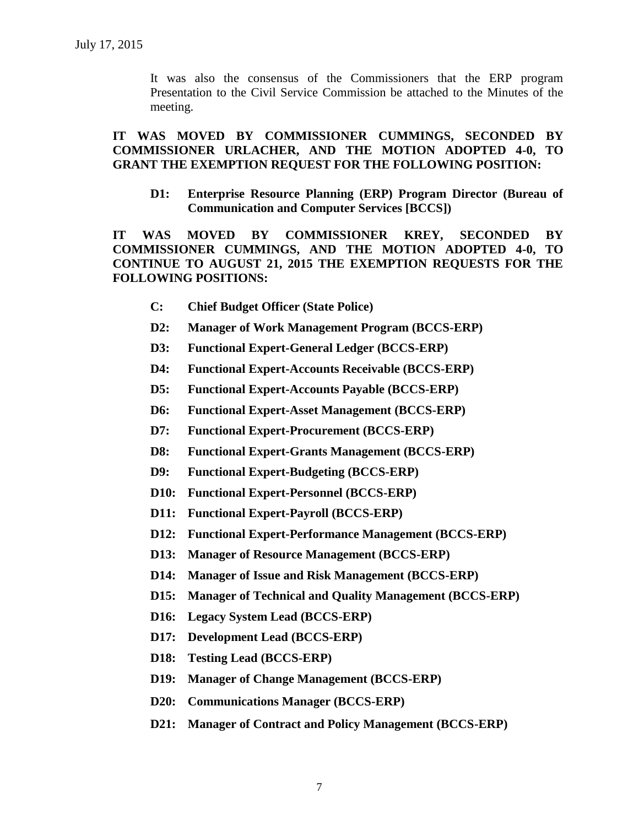It was also the consensus of the Commissioners that the ERP program Presentation to the Civil Service Commission be attached to the Minutes of the meeting.

#### **IT WAS MOVED BY COMMISSIONER CUMMINGS, SECONDED BY COMMISSIONER URLACHER, AND THE MOTION ADOPTED 4-0, TO GRANT THE EXEMPTION REQUEST FOR THE FOLLOWING POSITION:**

**D1: Enterprise Resource Planning (ERP) Program Director (Bureau of Communication and Computer Services [BCCS])**

**IT WAS MOVED BY COMMISSIONER KREY, SECONDED BY COMMISSIONER CUMMINGS, AND THE MOTION ADOPTED 4-0, TO CONTINUE TO AUGUST 21, 2015 THE EXEMPTION REQUESTS FOR THE FOLLOWING POSITIONS:**

- **C: Chief Budget Officer (State Police)**
- **D2: Manager of Work Management Program (BCCS-ERP)**
- **D3: Functional Expert-General Ledger (BCCS-ERP)**
- **D4: Functional Expert-Accounts Receivable (BCCS-ERP)**
- **D5: Functional Expert-Accounts Payable (BCCS-ERP)**
- **D6: Functional Expert-Asset Management (BCCS-ERP)**
- **D7: Functional Expert-Procurement (BCCS-ERP)**
- **D8: Functional Expert-Grants Management (BCCS-ERP)**
- **D9: Functional Expert-Budgeting (BCCS-ERP)**
- **D10: Functional Expert-Personnel (BCCS-ERP)**
- **D11: Functional Expert-Payroll (BCCS-ERP)**
- **D12: Functional Expert-Performance Management (BCCS-ERP)**
- **D13: Manager of Resource Management (BCCS-ERP)**
- **D14: Manager of Issue and Risk Management (BCCS-ERP)**
- **D15: Manager of Technical and Quality Management (BCCS-ERP)**
- **D16: Legacy System Lead (BCCS-ERP)**
- **D17: Development Lead (BCCS-ERP)**
- **D18: Testing Lead (BCCS-ERP)**
- **D19: Manager of Change Management (BCCS-ERP)**
- **D20: Communications Manager (BCCS-ERP)**
- **D21: Manager of Contract and Policy Management (BCCS-ERP)**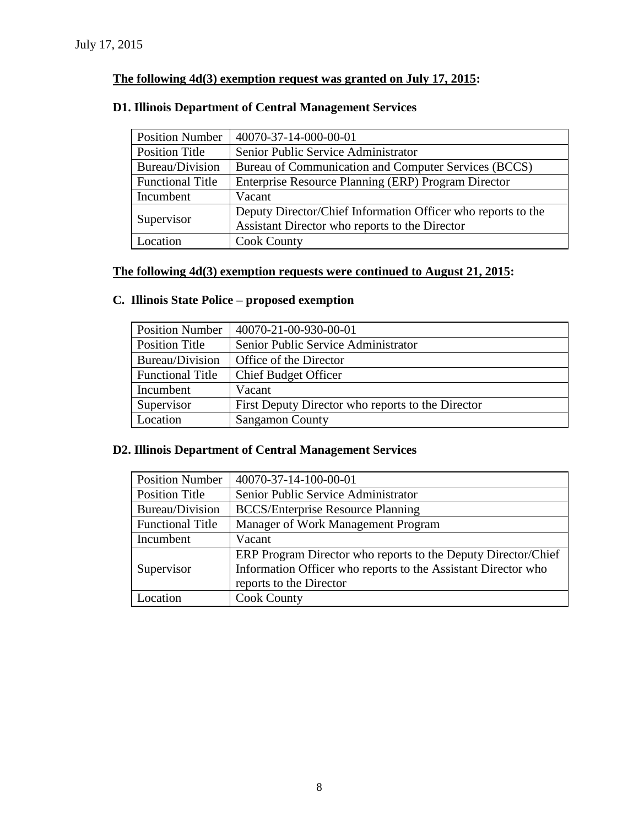### **The following 4d(3) exemption request was granted on July 17, 2015:**

### **D1. Illinois Department of Central Management Services**

| <b>Position Number</b>  | 40070-37-14-000-00-01                                        |
|-------------------------|--------------------------------------------------------------|
| <b>Position Title</b>   | Senior Public Service Administrator                          |
| Bureau/Division         | Bureau of Communication and Computer Services (BCCS)         |
| <b>Functional Title</b> | Enterprise Resource Planning (ERP) Program Director          |
| Incumbent               | Vacant                                                       |
| Supervisor              | Deputy Director/Chief Information Officer who reports to the |
|                         | Assistant Director who reports to the Director               |
| Location                | <b>Cook County</b>                                           |

### **The following 4d(3) exemption requests were continued to August 21, 2015:**

### **C. Illinois State Police – proposed exemption**

| <b>Position Number</b>  | 40070-21-00-930-00-01                             |
|-------------------------|---------------------------------------------------|
| Position Title          | Senior Public Service Administrator               |
| Bureau/Division         | Office of the Director                            |
| <b>Functional Title</b> | <b>Chief Budget Officer</b>                       |
| Incumbent               | Vacant                                            |
| Supervisor              | First Deputy Director who reports to the Director |
| Location                | <b>Sangamon County</b>                            |

### **D2. Illinois Department of Central Management Services**

| 40070-37-14-100-00-01                                         |
|---------------------------------------------------------------|
| Senior Public Service Administrator                           |
| <b>BCCS/Enterprise Resource Planning</b>                      |
| Manager of Work Management Program                            |
| Vacant                                                        |
| ERP Program Director who reports to the Deputy Director/Chief |
| Information Officer who reports to the Assistant Director who |
| reports to the Director                                       |
| <b>Cook County</b>                                            |
|                                                               |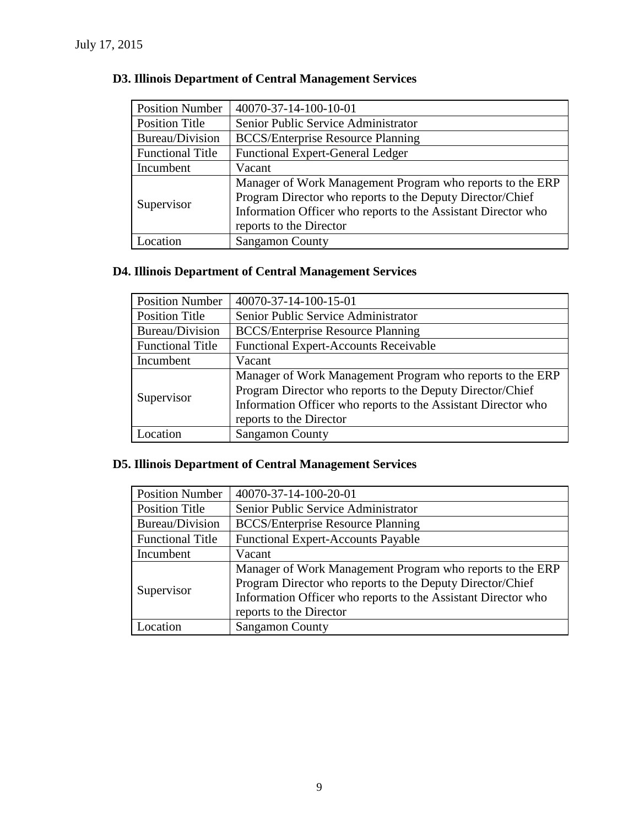| <b>Position Number</b>  | 40070-37-14-100-10-01                                         |
|-------------------------|---------------------------------------------------------------|
| <b>Position Title</b>   | Senior Public Service Administrator                           |
| Bureau/Division         | <b>BCCS/Enterprise Resource Planning</b>                      |
| <b>Functional Title</b> | <b>Functional Expert-General Ledger</b>                       |
| Incumbent               | Vacant                                                        |
| Supervisor              | Manager of Work Management Program who reports to the ERP     |
|                         | Program Director who reports to the Deputy Director/Chief     |
|                         | Information Officer who reports to the Assistant Director who |
|                         | reports to the Director                                       |
| Location                | <b>Sangamon County</b>                                        |

### **D3. Illinois Department of Central Management Services**

### **D4. Illinois Department of Central Management Services**

| <b>Position Number</b>  | 40070-37-14-100-15-01                                         |
|-------------------------|---------------------------------------------------------------|
| <b>Position Title</b>   | Senior Public Service Administrator                           |
| Bureau/Division         | <b>BCCS/Enterprise Resource Planning</b>                      |
| <b>Functional Title</b> | <b>Functional Expert-Accounts Receivable</b>                  |
| Incumbent               | Vacant                                                        |
| Supervisor              | Manager of Work Management Program who reports to the ERP     |
|                         | Program Director who reports to the Deputy Director/Chief     |
|                         | Information Officer who reports to the Assistant Director who |
|                         | reports to the Director                                       |
| ocation                 | <b>Sangamon County</b>                                        |

### **D5. Illinois Department of Central Management Services**

| <b>Position Number</b>  | 40070-37-14-100-20-01                                                                                                                                                                                              |
|-------------------------|--------------------------------------------------------------------------------------------------------------------------------------------------------------------------------------------------------------------|
| <b>Position Title</b>   | Senior Public Service Administrator                                                                                                                                                                                |
| Bureau/Division         | <b>BCCS/Enterprise Resource Planning</b>                                                                                                                                                                           |
| <b>Functional Title</b> | <b>Functional Expert-Accounts Payable</b>                                                                                                                                                                          |
| Incumbent               | Vacant                                                                                                                                                                                                             |
| Supervisor              | Manager of Work Management Program who reports to the ERP<br>Program Director who reports to the Deputy Director/Chief<br>Information Officer who reports to the Assistant Director who<br>reports to the Director |
| Location                | <b>Sangamon County</b>                                                                                                                                                                                             |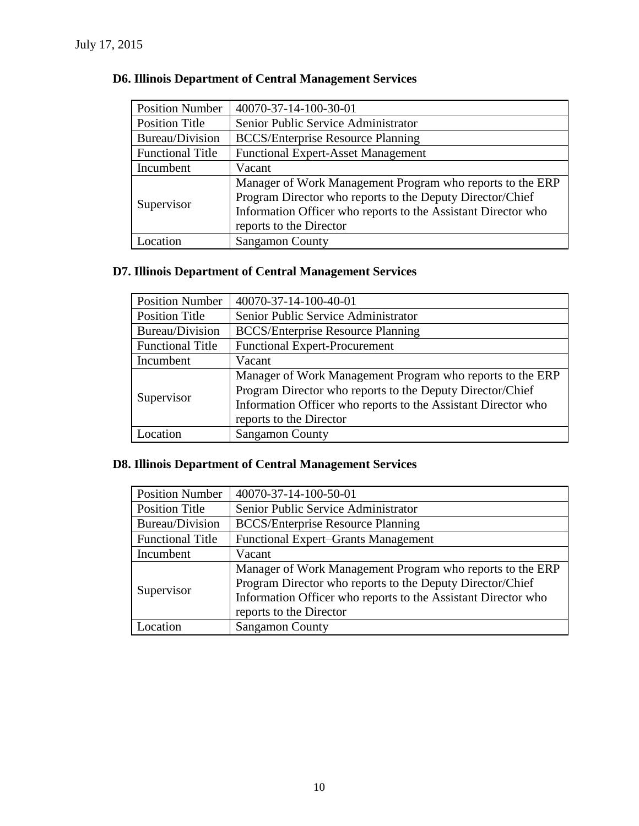| <b>Position Number</b>  | 40070-37-14-100-30-01                                         |
|-------------------------|---------------------------------------------------------------|
| <b>Position Title</b>   | Senior Public Service Administrator                           |
| Bureau/Division         | <b>BCCS/Enterprise Resource Planning</b>                      |
| <b>Functional Title</b> | <b>Functional Expert-Asset Management</b>                     |
| Incumbent               | Vacant                                                        |
| Supervisor              | Manager of Work Management Program who reports to the ERP     |
|                         | Program Director who reports to the Deputy Director/Chief     |
|                         | Information Officer who reports to the Assistant Director who |
|                         | reports to the Director                                       |
| Location                | <b>Sangamon County</b>                                        |

### **D6. Illinois Department of Central Management Services**

# **D7. Illinois Department of Central Management Services**

| <b>Position Number</b>  | 40070-37-14-100-40-01                                         |
|-------------------------|---------------------------------------------------------------|
| <b>Position Title</b>   | Senior Public Service Administrator                           |
| Bureau/Division         | <b>BCCS/Enterprise Resource Planning</b>                      |
| <b>Functional Title</b> | <b>Functional Expert-Procurement</b>                          |
| Incumbent               | Vacant                                                        |
| Supervisor              | Manager of Work Management Program who reports to the ERP     |
|                         | Program Director who reports to the Deputy Director/Chief     |
|                         | Information Officer who reports to the Assistant Director who |
|                         | reports to the Director                                       |
| ocation                 | <b>Sangamon County</b>                                        |

### **D8. Illinois Department of Central Management Services**

| <b>Position Number</b>  | 40070-37-14-100-50-01                                                                                                                                                                                              |
|-------------------------|--------------------------------------------------------------------------------------------------------------------------------------------------------------------------------------------------------------------|
| <b>Position Title</b>   | Senior Public Service Administrator                                                                                                                                                                                |
| Bureau/Division         | <b>BCCS/Enterprise Resource Planning</b>                                                                                                                                                                           |
| <b>Functional Title</b> | <b>Functional Expert–Grants Management</b>                                                                                                                                                                         |
| Incumbent               | Vacant                                                                                                                                                                                                             |
| Supervisor              | Manager of Work Management Program who reports to the ERP<br>Program Director who reports to the Deputy Director/Chief<br>Information Officer who reports to the Assistant Director who<br>reports to the Director |
| Location                | <b>Sangamon County</b>                                                                                                                                                                                             |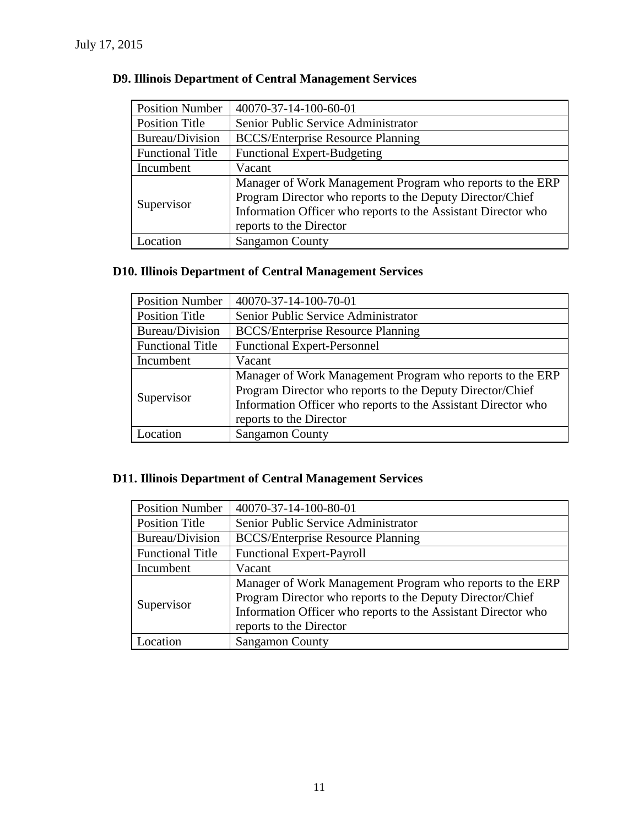| <b>Position Number</b>  | 40070-37-14-100-60-01                                         |
|-------------------------|---------------------------------------------------------------|
| Position Title          | Senior Public Service Administrator                           |
| Bureau/Division         | <b>BCCS/Enterprise Resource Planning</b>                      |
| <b>Functional Title</b> | <b>Functional Expert-Budgeting</b>                            |
| Incumbent               | Vacant                                                        |
| Supervisor              | Manager of Work Management Program who reports to the ERP     |
|                         | Program Director who reports to the Deputy Director/Chief     |
|                         | Information Officer who reports to the Assistant Director who |
|                         | reports to the Director                                       |
| Location                | <b>Sangamon County</b>                                        |

### **D9. Illinois Department of Central Management Services**

### **D10. Illinois Department of Central Management Services**

| <b>Position Number</b>  | 40070-37-14-100-70-01                                         |
|-------------------------|---------------------------------------------------------------|
| <b>Position Title</b>   | Senior Public Service Administrator                           |
| Bureau/Division         | <b>BCCS/Enterprise Resource Planning</b>                      |
| <b>Functional Title</b> | <b>Functional Expert-Personnel</b>                            |
| Incumbent               | Vacant                                                        |
| Supervisor              | Manager of Work Management Program who reports to the ERP     |
|                         | Program Director who reports to the Deputy Director/Chief     |
|                         | Information Officer who reports to the Assistant Director who |
|                         | reports to the Director                                       |
| .ocation                | <b>Sangamon County</b>                                        |

## **D11. Illinois Department of Central Management Services**

| <b>Position Number</b>  | 40070-37-14-100-80-01                                         |  |  |  |
|-------------------------|---------------------------------------------------------------|--|--|--|
| <b>Position Title</b>   | Senior Public Service Administrator                           |  |  |  |
| Bureau/Division         | <b>BCCS/Enterprise Resource Planning</b>                      |  |  |  |
| <b>Functional Title</b> | <b>Functional Expert-Payroll</b>                              |  |  |  |
| Incumbent               | Vacant                                                        |  |  |  |
| Supervisor              | Manager of Work Management Program who reports to the ERP     |  |  |  |
|                         | Program Director who reports to the Deputy Director/Chief     |  |  |  |
|                         | Information Officer who reports to the Assistant Director who |  |  |  |
|                         | reports to the Director                                       |  |  |  |
| ocation                 | <b>Sangamon County</b>                                        |  |  |  |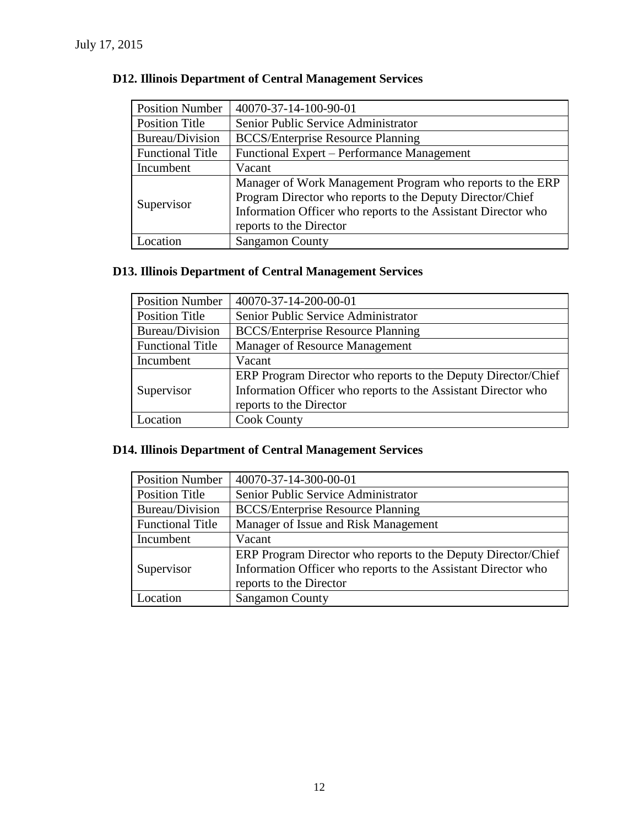| <b>Position Number</b>  | 40070-37-14-100-90-01                                         |  |  |  |
|-------------------------|---------------------------------------------------------------|--|--|--|
| <b>Position Title</b>   | Senior Public Service Administrator                           |  |  |  |
| Bureau/Division         | <b>BCCS/Enterprise Resource Planning</b>                      |  |  |  |
| <b>Functional Title</b> | Functional Expert – Performance Management                    |  |  |  |
| Incumbent               | Vacant                                                        |  |  |  |
| Supervisor              | Manager of Work Management Program who reports to the ERP     |  |  |  |
|                         | Program Director who reports to the Deputy Director/Chief     |  |  |  |
|                         | Information Officer who reports to the Assistant Director who |  |  |  |
|                         | reports to the Director                                       |  |  |  |
| Location                | <b>Sangamon County</b>                                        |  |  |  |

### **D12. Illinois Department of Central Management Services**

### **D13. Illinois Department of Central Management Services**

| <b>Position Number</b>  | 40070-37-14-200-00-01                                         |  |  |  |
|-------------------------|---------------------------------------------------------------|--|--|--|
| <b>Position Title</b>   | Senior Public Service Administrator                           |  |  |  |
| Bureau/Division         | <b>BCCS/Enterprise Resource Planning</b>                      |  |  |  |
| <b>Functional Title</b> | Manager of Resource Management                                |  |  |  |
| Incumbent               | Vacant                                                        |  |  |  |
|                         | ERP Program Director who reports to the Deputy Director/Chief |  |  |  |
| Supervisor              | Information Officer who reports to the Assistant Director who |  |  |  |
|                         | reports to the Director                                       |  |  |  |
| Location                | <b>Cook County</b>                                            |  |  |  |

## **D14. Illinois Department of Central Management Services**

| 40070-37-14-300-00-01                                         |  |  |
|---------------------------------------------------------------|--|--|
| Senior Public Service Administrator                           |  |  |
| <b>BCCS/Enterprise Resource Planning</b>                      |  |  |
| Manager of Issue and Risk Management                          |  |  |
| Vacant                                                        |  |  |
| ERP Program Director who reports to the Deputy Director/Chief |  |  |
| Information Officer who reports to the Assistant Director who |  |  |
| reports to the Director                                       |  |  |
| <b>Sangamon County</b>                                        |  |  |
|                                                               |  |  |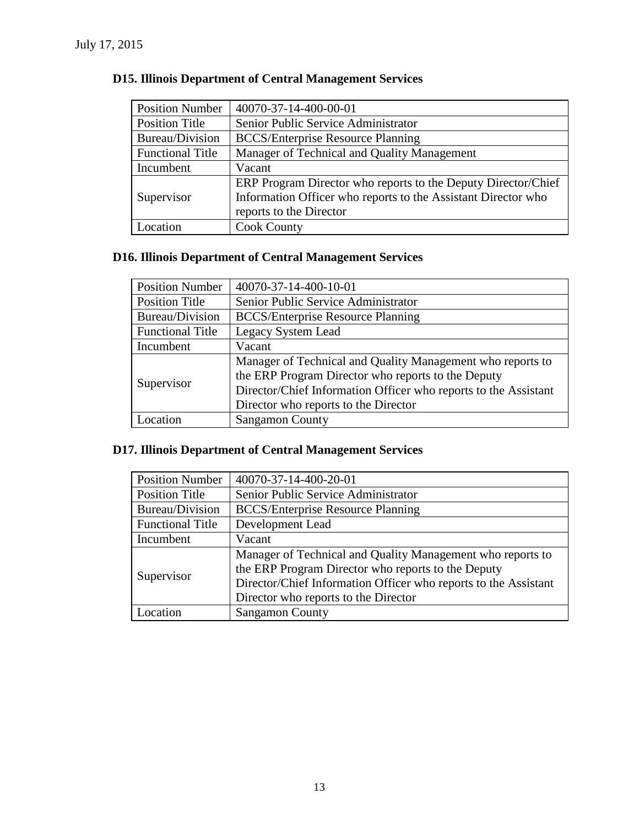| <b>Position Number</b>  | 40070-37-14-400-00-01                                         |  |  |  |
|-------------------------|---------------------------------------------------------------|--|--|--|
| <b>Position Title</b>   | Senior Public Service Administrator                           |  |  |  |
| Bureau/Division         | <b>BCCS/Enterprise Resource Planning</b>                      |  |  |  |
| <b>Functional Title</b> | Manager of Technical and Quality Management                   |  |  |  |
| Incumbent               | Vacant                                                        |  |  |  |
|                         | ERP Program Director who reports to the Deputy Director/Chief |  |  |  |
| Supervisor              | Information Officer who reports to the Assistant Director who |  |  |  |
|                         | reports to the Director                                       |  |  |  |
| Location                | <b>Cook County</b>                                            |  |  |  |

### **D15. Illinois Department of Central Management Services**

### **D16. Illinois Department of Central Management Services**

| <b>Position Number</b>  | 40070-37-14-400-10-01                                           |  |  |  |
|-------------------------|-----------------------------------------------------------------|--|--|--|
| <b>Position Title</b>   | Senior Public Service Administrator                             |  |  |  |
| Bureau/Division         | <b>BCCS/Enterprise Resource Planning</b>                        |  |  |  |
| <b>Functional Title</b> | Legacy System Lead                                              |  |  |  |
| Incumbent               | Vacant                                                          |  |  |  |
| Supervisor              | Manager of Technical and Quality Management who reports to      |  |  |  |
|                         | the ERP Program Director who reports to the Deputy              |  |  |  |
|                         | Director/Chief Information Officer who reports to the Assistant |  |  |  |
|                         | Director who reports to the Director                            |  |  |  |
| .ocation                | <b>Sangamon County</b>                                          |  |  |  |

## **D17. Illinois Department of Central Management Services**

| <b>Position Number</b>  | 40070-37-14-400-20-01                                           |  |  |
|-------------------------|-----------------------------------------------------------------|--|--|
| <b>Position Title</b>   | Senior Public Service Administrator                             |  |  |
| Bureau/Division         | <b>BCCS/Enterprise Resource Planning</b>                        |  |  |
| <b>Functional Title</b> | Development Lead                                                |  |  |
| Incumbent               | Vacant                                                          |  |  |
| Supervisor              | Manager of Technical and Quality Management who reports to      |  |  |
|                         | the ERP Program Director who reports to the Deputy              |  |  |
|                         | Director/Chief Information Officer who reports to the Assistant |  |  |
|                         | Director who reports to the Director                            |  |  |
| Location                | <b>Sangamon County</b>                                          |  |  |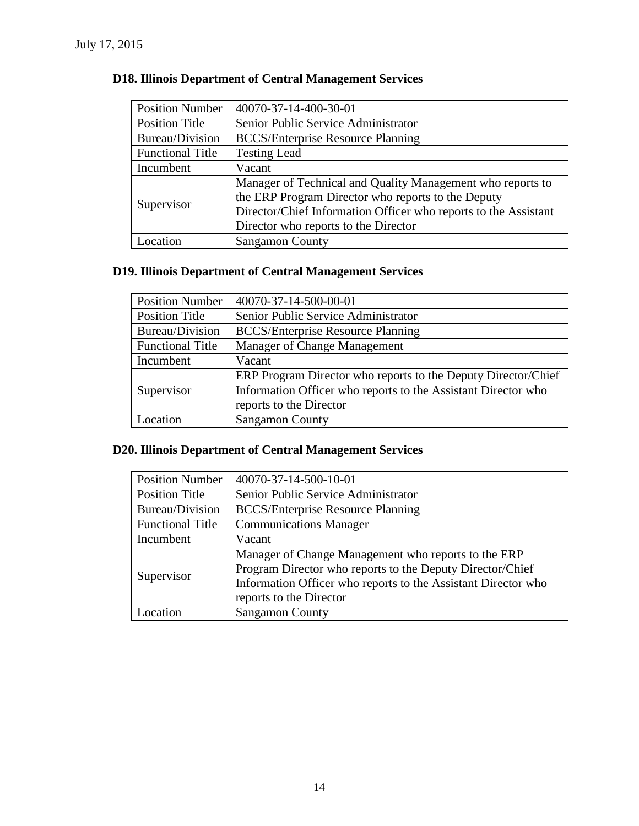| <b>Position Number</b>  | 40070-37-14-400-30-01                                           |  |  |  |
|-------------------------|-----------------------------------------------------------------|--|--|--|
| <b>Position Title</b>   | Senior Public Service Administrator                             |  |  |  |
| Bureau/Division         | <b>BCCS/Enterprise Resource Planning</b>                        |  |  |  |
| <b>Functional Title</b> | <b>Testing Lead</b>                                             |  |  |  |
| Incumbent               | Vacant                                                          |  |  |  |
| Supervisor              | Manager of Technical and Quality Management who reports to      |  |  |  |
|                         | the ERP Program Director who reports to the Deputy              |  |  |  |
|                         | Director/Chief Information Officer who reports to the Assistant |  |  |  |
|                         | Director who reports to the Director                            |  |  |  |
| Location                | <b>Sangamon County</b>                                          |  |  |  |

### **D18. Illinois Department of Central Management Services**

### **D19. Illinois Department of Central Management Services**

| <b>Position Number</b>  | 40070-37-14-500-00-01                                         |  |  |  |
|-------------------------|---------------------------------------------------------------|--|--|--|
| <b>Position Title</b>   | Senior Public Service Administrator                           |  |  |  |
| Bureau/Division         | <b>BCCS/Enterprise Resource Planning</b>                      |  |  |  |
| <b>Functional Title</b> | Manager of Change Management                                  |  |  |  |
| Incumbent               | Vacant                                                        |  |  |  |
|                         | ERP Program Director who reports to the Deputy Director/Chief |  |  |  |
| Supervisor              | Information Officer who reports to the Assistant Director who |  |  |  |
|                         | reports to the Director                                       |  |  |  |
| Location                | <b>Sangamon County</b>                                        |  |  |  |

### **D20. Illinois Department of Central Management Services**

| <b>Position Number</b>  | 40070-37-14-500-10-01                                         |  |  |
|-------------------------|---------------------------------------------------------------|--|--|
| <b>Position Title</b>   | Senior Public Service Administrator                           |  |  |
| Bureau/Division         | <b>BCCS/Enterprise Resource Planning</b>                      |  |  |
| <b>Functional Title</b> | <b>Communications Manager</b>                                 |  |  |
| Incumbent               | Vacant                                                        |  |  |
| Supervisor              | Manager of Change Management who reports to the ERP           |  |  |
|                         | Program Director who reports to the Deputy Director/Chief     |  |  |
|                         | Information Officer who reports to the Assistant Director who |  |  |
|                         | reports to the Director                                       |  |  |
| Location                | <b>Sangamon County</b>                                        |  |  |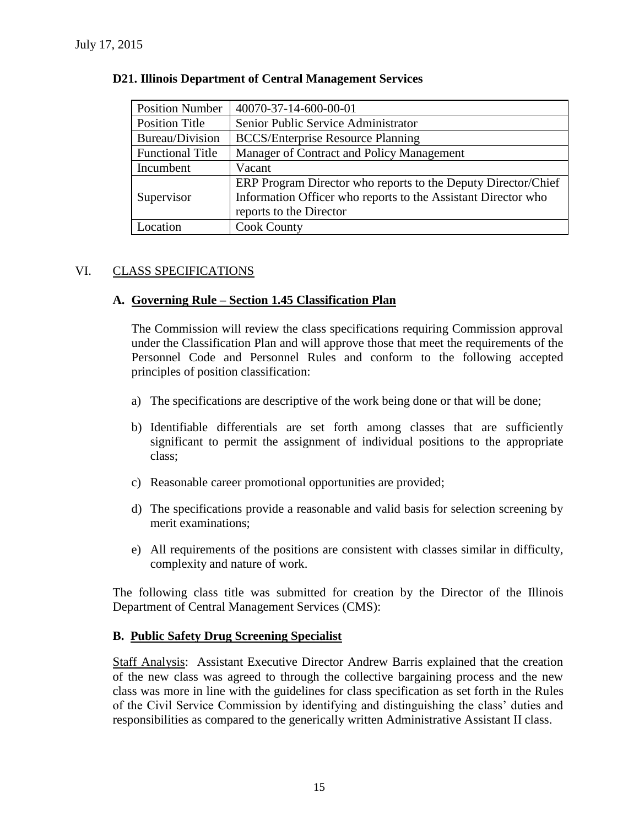| <b>Position Number</b>  | 40070-37-14-600-00-01                                         |  |  |  |
|-------------------------|---------------------------------------------------------------|--|--|--|
| <b>Position Title</b>   | Senior Public Service Administrator                           |  |  |  |
| Bureau/Division         | <b>BCCS/Enterprise Resource Planning</b>                      |  |  |  |
| <b>Functional Title</b> | Manager of Contract and Policy Management                     |  |  |  |
| Incumbent               | Vacant                                                        |  |  |  |
|                         | ERP Program Director who reports to the Deputy Director/Chief |  |  |  |
| Supervisor              | Information Officer who reports to the Assistant Director who |  |  |  |
|                         | reports to the Director                                       |  |  |  |
| Location                | <b>Cook County</b>                                            |  |  |  |

#### **D21. Illinois Department of Central Management Services**

### VI. CLASS SPECIFICATIONS

### **A. Governing Rule – Section 1.45 Classification Plan**

The Commission will review the class specifications requiring Commission approval under the Classification Plan and will approve those that meet the requirements of the Personnel Code and Personnel Rules and conform to the following accepted principles of position classification:

- a) The specifications are descriptive of the work being done or that will be done;
- b) Identifiable differentials are set forth among classes that are sufficiently significant to permit the assignment of individual positions to the appropriate class;
- c) Reasonable career promotional opportunities are provided;
- d) The specifications provide a reasonable and valid basis for selection screening by merit examinations;
- e) All requirements of the positions are consistent with classes similar in difficulty, complexity and nature of work.

The following class title was submitted for creation by the Director of the Illinois Department of Central Management Services (CMS):

### **B. Public Safety Drug Screening Specialist**

Staff Analysis: Assistant Executive Director Andrew Barris explained that the creation of the new class was agreed to through the collective bargaining process and the new class was more in line with the guidelines for class specification as set forth in the Rules of the Civil Service Commission by identifying and distinguishing the class' duties and responsibilities as compared to the generically written Administrative Assistant II class.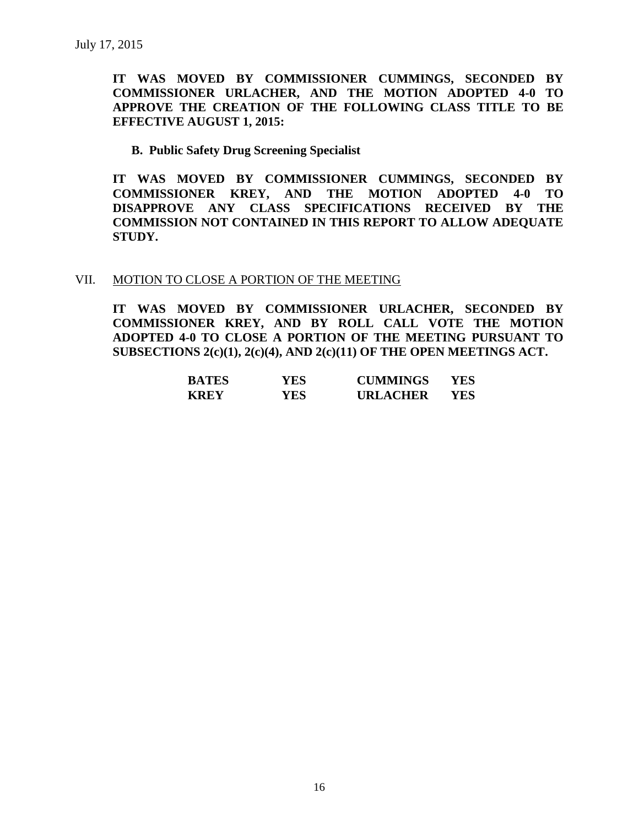**IT WAS MOVED BY COMMISSIONER CUMMINGS, SECONDED BY COMMISSIONER URLACHER, AND THE MOTION ADOPTED 4-0 TO APPROVE THE CREATION OF THE FOLLOWING CLASS TITLE TO BE EFFECTIVE AUGUST 1, 2015:**

**B. Public Safety Drug Screening Specialist**

**IT WAS MOVED BY COMMISSIONER CUMMINGS, SECONDED BY COMMISSIONER KREY, AND THE MOTION ADOPTED 4-0 TO DISAPPROVE ANY CLASS SPECIFICATIONS RECEIVED BY THE COMMISSION NOT CONTAINED IN THIS REPORT TO ALLOW ADEQUATE STUDY.** 

#### VII. MOTION TO CLOSE A PORTION OF THE MEETING

**IT WAS MOVED BY COMMISSIONER URLACHER, SECONDED BY COMMISSIONER KREY, AND BY ROLL CALL VOTE THE MOTION ADOPTED 4-0 TO CLOSE A PORTION OF THE MEETING PURSUANT TO SUBSECTIONS 2(c)(1), 2(c)(4), AND 2(c)(11) OF THE OPEN MEETINGS ACT.**

| <b>BATES</b> | YES | <b>CUMMINGS</b> | YES. |
|--------------|-----|-----------------|------|
| <b>KREY</b>  | YES | <b>URLACHER</b> | YES. |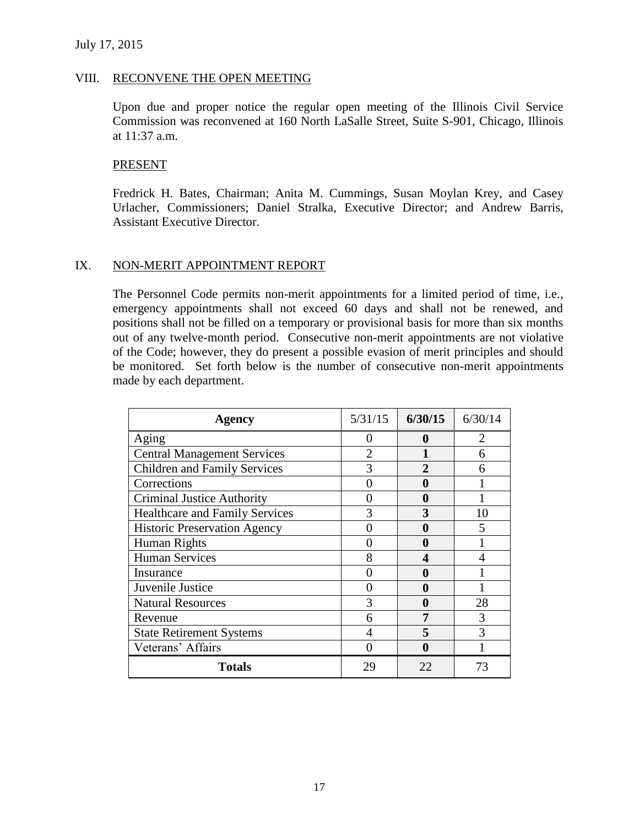#### VIII. RECONVENE THE OPEN MEETING

Upon due and proper notice the regular open meeting of the Illinois Civil Service Commission was reconvened at 160 North LaSalle Street, Suite S-901, Chicago, Illinois at 11:37 a.m.

#### PRESENT

Fredrick H. Bates, Chairman; Anita M. Cummings, Susan Moylan Krey, and Casey Urlacher, Commissioners; Daniel Stralka, Executive Director; and Andrew Barris, Assistant Executive Director.

#### IX. NON-MERIT APPOINTMENT REPORT

The Personnel Code permits non-merit appointments for a limited period of time, i.e., emergency appointments shall not exceed 60 days and shall not be renewed, and positions shall not be filled on a temporary or provisional basis for more than six months out of any twelve-month period. Consecutive non-merit appointments are not violative of the Code; however, they do present a possible evasion of merit principles and should be monitored. Set forth below is the number of consecutive non-merit appointments made by each department.

| Agency                                | 5/31/15        | 6/30/15      | 6/30/14                     |
|---------------------------------------|----------------|--------------|-----------------------------|
| Aging                                 | 0              | $\mathbf 0$  | $\mathcal{D}_{\mathcal{L}}$ |
| <b>Central Management Services</b>    | $\mathfrak{D}$ |              | 6                           |
| <b>Children and Family Services</b>   | 3              | $\mathbf{2}$ | 6                           |
| Corrections                           |                | 0            |                             |
| <b>Criminal Justice Authority</b>     |                | 0            |                             |
| <b>Healthcare and Family Services</b> | 3              | 3            | 10                          |
| <b>Historic Preservation Agency</b>   |                | 0            | 5                           |
| Human Rights                          |                | O            |                             |
| <b>Human Services</b>                 | 8              | 4            |                             |
| Insurance                             |                | 0            |                             |
| Juvenile Justice                      |                | 0            |                             |
| <b>Natural Resources</b>              | 3              | $\mathbf 0$  | 28                          |
| Revenue                               | 6              | 7            | 3                           |
| <b>State Retirement Systems</b>       | 4              | 5            | 3                           |
| Veterans' Affairs                     |                | 0            |                             |
| <b>Totals</b>                         | 29             | 22           | 73                          |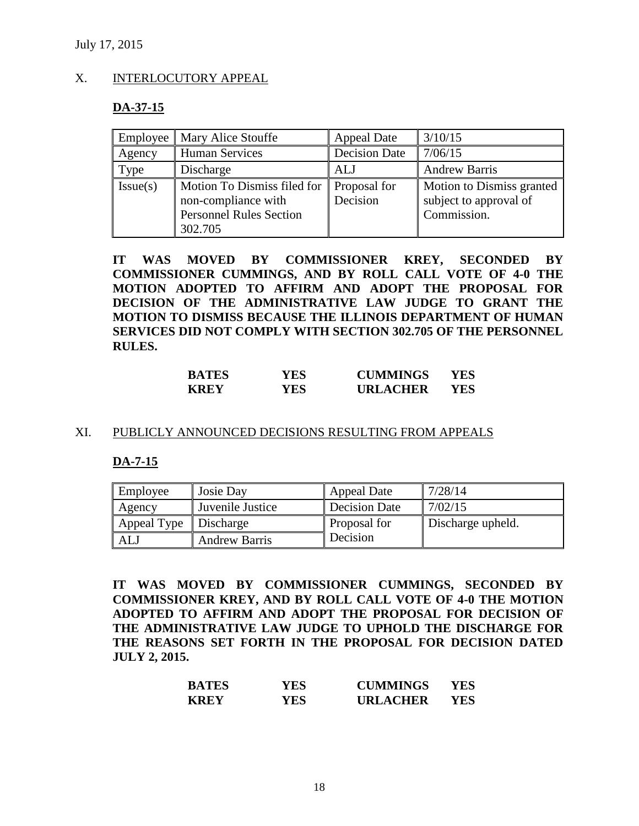July 17, 2015

#### X. INTERLOCUTORY APPEAL

#### **DA-37-15**

|          | Employee    Mary Alice Stouffe                                                                  | <b>Appeal Date</b>       | 3/10/15                                                            |
|----------|-------------------------------------------------------------------------------------------------|--------------------------|--------------------------------------------------------------------|
| Agency   | <b>Human Services</b>                                                                           | <b>Decision Date</b>     | 7/06/15                                                            |
| Type     | Discharge                                                                                       | ALJ                      | <b>Andrew Barris</b>                                               |
| Issue(s) | Motion To Dismiss filed for<br>non-compliance with<br><b>Personnel Rules Section</b><br>302.705 | Proposal for<br>Decision | Motion to Dismiss granted<br>subject to approval of<br>Commission. |

**IT WAS MOVED BY COMMISSIONER KREY, SECONDED BY COMMISSIONER CUMMINGS, AND BY ROLL CALL VOTE OF 4-0 THE MOTION ADOPTED TO AFFIRM AND ADOPT THE PROPOSAL FOR DECISION OF THE ADMINISTRATIVE LAW JUDGE TO GRANT THE MOTION TO DISMISS BECAUSE THE ILLINOIS DEPARTMENT OF HUMAN SERVICES DID NOT COMPLY WITH SECTION 302.705 OF THE PERSONNEL RULES.**

| <b>BATES</b> | YES. | <b>CUMMINGS</b> | YES. |
|--------------|------|-----------------|------|
| <b>KREY</b>  | YES. | <b>URLACHER</b> | YES  |

#### XI. PUBLICLY ANNOUNCED DECISIONS RESULTING FROM APPEALS

**DA-7-15**

| Employee    | Josie Day            | Appeal Date         | 7/28/14           |
|-------------|----------------------|---------------------|-------------------|
| Agency      | Juvenile Justice     | Decision Date       | 7/02/15           |
| Appeal Type | Discharge            | <b>Proposal for</b> | Discharge upheld. |
| AL.         | <b>Andrew Barris</b> | Decision            |                   |

**IT WAS MOVED BY COMMISSIONER CUMMINGS, SECONDED BY COMMISSIONER KREY, AND BY ROLL CALL VOTE OF 4-0 THE MOTION ADOPTED TO AFFIRM AND ADOPT THE PROPOSAL FOR DECISION OF THE ADMINISTRATIVE LAW JUDGE TO UPHOLD THE DISCHARGE FOR THE REASONS SET FORTH IN THE PROPOSAL FOR DECISION DATED JULY 2, 2015.**

| <b>BATES</b> | YES | <b>CUMMINGS</b> | YES |
|--------------|-----|-----------------|-----|
| <b>KREY</b>  | YES | <b>URLACHER</b> | YES |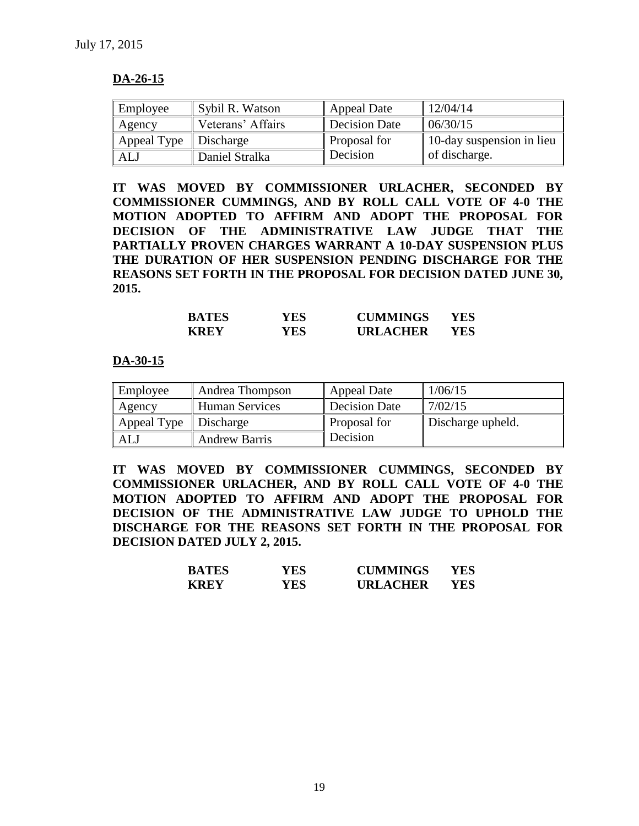#### **DA-26-15**

| Employee    | Sybil R. Watson   | Appeal Date         | 12/04/14                  |
|-------------|-------------------|---------------------|---------------------------|
| Agency      | Veterans' Affairs | Decision Date       | 06/30/15                  |
| Appeal Type | Discharge         | <b>Proposal for</b> | 10-day suspension in lieu |
| ALJ         | Daniel Stralka    | Decision            | of discharge.             |

**IT WAS MOVED BY COMMISSIONER URLACHER, SECONDED BY COMMISSIONER CUMMINGS, AND BY ROLL CALL VOTE OF 4-0 THE MOTION ADOPTED TO AFFIRM AND ADOPT THE PROPOSAL FOR DECISION OF THE ADMINISTRATIVE LAW JUDGE THAT THE PARTIALLY PROVEN CHARGES WARRANT A 10-DAY SUSPENSION PLUS THE DURATION OF HER SUSPENSION PENDING DISCHARGE FOR THE REASONS SET FORTH IN THE PROPOSAL FOR DECISION DATED JUNE 30, 2015.**

| <b>BATES</b> | YES | <b>CUMMINGS</b> | YES |
|--------------|-----|-----------------|-----|
| <b>KREY</b>  | YES | <b>URLACHER</b> | YES |

**DA-30-15**

| Employee    | Andrea Thompson       | <b>Appeal Date</b> | 1/06/15           |
|-------------|-----------------------|--------------------|-------------------|
| Agency      | <b>Human Services</b> | Decision Date      | 7/02/15           |
| Appeal Type | Discharge             | Proposal for       | Discharge upheld. |
| ALJ         | <b>Andrew Barris</b>  | Decision           |                   |

**IT WAS MOVED BY COMMISSIONER CUMMINGS, SECONDED BY COMMISSIONER URLACHER, AND BY ROLL CALL VOTE OF 4-0 THE MOTION ADOPTED TO AFFIRM AND ADOPT THE PROPOSAL FOR DECISION OF THE ADMINISTRATIVE LAW JUDGE TO UPHOLD THE DISCHARGE FOR THE REASONS SET FORTH IN THE PROPOSAL FOR DECISION DATED JULY 2, 2015.**

| <b>BATES</b> | YES | <b>CUMMINGS</b> | YES |
|--------------|-----|-----------------|-----|
| <b>KREY</b>  | YES | <b>URLACHER</b> | YES |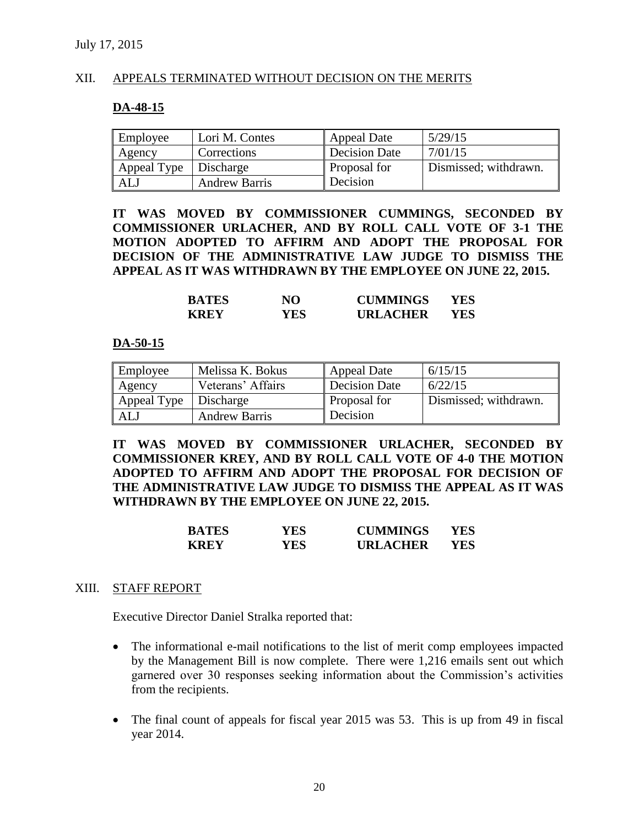#### XII. APPEALS TERMINATED WITHOUT DECISION ON THE MERITS

#### **DA-48-15**

| Employee                | Lori M. Contes       | <b>Appeal Date</b>   | 5/29/15               |
|-------------------------|----------------------|----------------------|-----------------------|
| Agency                  | Corrections          | <b>Decision Date</b> | 7/01/15               |
| Appeal Type   Discharge |                      | <b>Proposal for</b>  | Dismissed; withdrawn. |
| <b>ALJ</b>              | <b>Andrew Barris</b> | Decision             |                       |

**IT WAS MOVED BY COMMISSIONER CUMMINGS, SECONDED BY COMMISSIONER URLACHER, AND BY ROLL CALL VOTE OF 3-1 THE MOTION ADOPTED TO AFFIRM AND ADOPT THE PROPOSAL FOR DECISION OF THE ADMINISTRATIVE LAW JUDGE TO DISMISS THE APPEAL AS IT WAS WITHDRAWN BY THE EMPLOYEE ON JUNE 22, 2015.**

| <b>BATES</b> | NO  | <b>CUMMINGS</b> | YES |
|--------------|-----|-----------------|-----|
| <b>KREY</b>  | YES | <b>URLACHER</b> | YES |

#### **DA-50-15**

| Employee    | Melissa K. Bokus     | Appeal Date         | 6/15/15               |
|-------------|----------------------|---------------------|-----------------------|
| Agency      | Veterans' Affairs    | Decision Date       | 6/22/15               |
| Appeal Type | Discharge            | <b>Proposal for</b> | Dismissed; withdrawn. |
| ALJ         | <b>Andrew Barris</b> | Decision            |                       |

**IT WAS MOVED BY COMMISSIONER URLACHER, SECONDED BY COMMISSIONER KREY, AND BY ROLL CALL VOTE OF 4-0 THE MOTION ADOPTED TO AFFIRM AND ADOPT THE PROPOSAL FOR DECISION OF THE ADMINISTRATIVE LAW JUDGE TO DISMISS THE APPEAL AS IT WAS WITHDRAWN BY THE EMPLOYEE ON JUNE 22, 2015.**

| <b>BATES</b> | YES | <b>CUMMINGS</b> | YES. |
|--------------|-----|-----------------|------|
| <b>KREY</b>  | YES | <b>URLACHER</b> | YES. |

#### XIII. STAFF REPORT

Executive Director Daniel Stralka reported that:

- The informational e-mail notifications to the list of merit comp employees impacted by the Management Bill is now complete. There were 1,216 emails sent out which garnered over 30 responses seeking information about the Commission's activities from the recipients.
- The final count of appeals for fiscal year 2015 was 53. This is up from 49 in fiscal year 2014.